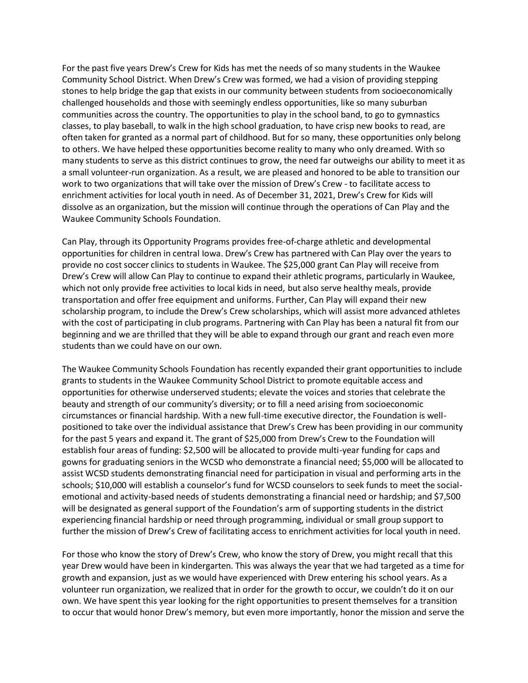For the past five years Drew's Crew for Kids has met the needs of so many students in the Waukee Community School District. When Drew's Crew was formed, we had a vision of providing stepping stones to help bridge the gap that exists in our community between students from socioeconomically challenged households and those with seemingly endless opportunities, like so many suburban communities across the country. The opportunities to play in the school band, to go to gymnastics classes, to play baseball, to walk in the high school graduation, to have crisp new books to read, are often taken for granted as a normal part of childhood. But for so many, these opportunities only belong to others. We have helped these opportunities become reality to many who only dreamed. With so many students to serve as this district continues to grow, the need far outweighs our ability to meet it as a small volunteer-run organization. As a result, we are pleased and honored to be able to transition our work to two organizations that will take over the mission of Drew's Crew - to facilitate access to enrichment activities for local youth in need. As of December 31, 2021, Drew's Crew for Kids will dissolve as an organization, but the mission will continue through the operations of Can Play and the Waukee Community Schools Foundation.

Can Play, through its Opportunity Programs provides free-of-charge athletic and developmental opportunities for children in central Iowa. Drew's Crew has partnered with Can Play over the years to provide no cost soccer clinics to students in Waukee. The \$25,000 grant Can Play will receive from Drew's Crew will allow Can Play to continue to expand their athletic programs, particularly in Waukee, which not only provide free activities to local kids in need, but also serve healthy meals, provide transportation and offer free equipment and uniforms. Further, Can Play will expand their new scholarship program, to include the Drew's Crew scholarships, which will assist more advanced athletes with the cost of participating in club programs. Partnering with Can Play has been a natural fit from our beginning and we are thrilled that they will be able to expand through our grant and reach even more students than we could have on our own.

The Waukee Community Schools Foundation has recently expanded their grant opportunities to include grants to students in the Waukee Community School District to promote equitable access and opportunities for otherwise underserved students; elevate the voices and stories that celebrate the beauty and strength of our community's diversity; or to fill a need arising from socioeconomic circumstances or financial hardship. With a new full-time executive director, the Foundation is wellpositioned to take over the individual assistance that Drew's Crew has been providing in our community for the past 5 years and expand it. The grant of \$25,000 from Drew's Crew to the Foundation will establish four areas of funding: \$2,500 will be allocated to provide multi-year funding for caps and gowns for graduating seniors in the WCSD who demonstrate a financial need; \$5,000 will be allocated to assist WCSD students demonstrating financial need for participation in visual and performing arts in the schools; \$10,000 will establish a counselor's fund for WCSD counselors to seek funds to meet the socialemotional and activity-based needs of students demonstrating a financial need or hardship; and \$7,500 will be designated as general support of the Foundation's arm of supporting students in the district experiencing financial hardship or need through programming, individual or small group support to further the mission of Drew's Crew of facilitating access to enrichment activities for local youth in need.

For those who know the story of Drew's Crew, who know the story of Drew, you might recall that this year Drew would have been in kindergarten. This was always the year that we had targeted as a time for growth and expansion, just as we would have experienced with Drew entering his school years. As a volunteer run organization, we realized that in order for the growth to occur, we couldn't do it on our own. We have spent this year looking for the right opportunities to present themselves for a transition to occur that would honor Drew's memory, but even more importantly, honor the mission and serve the